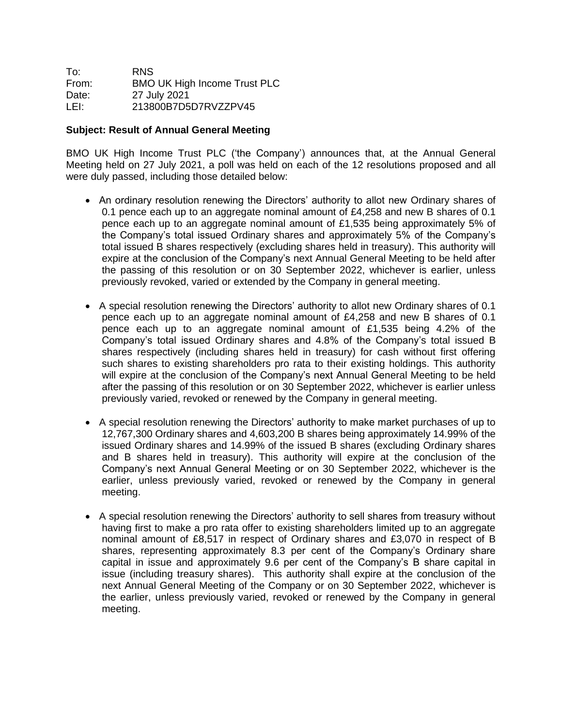To: RNS From: BMO UK High Income Trust PLC Date: 27 July 2021 LEI: 213800B7D5D7RVZZPV45

## **Subject: Result of Annual General Meeting**

BMO UK High Income Trust PLC ('the Company') announces that, at the Annual General Meeting held on 27 July 2021, a poll was held on each of the 12 resolutions proposed and all were duly passed, including those detailed below:

- An ordinary resolution renewing the Directors' authority to allot new Ordinary shares of 0.1 pence each up to an aggregate nominal amount of £4,258 and new B shares of 0.1 pence each up to an aggregate nominal amount of £1,535 being approximately 5% of the Company's total issued Ordinary shares and approximately 5% of the Company's total issued B shares respectively (excluding shares held in treasury). This authority will expire at the conclusion of the Company's next Annual General Meeting to be held after the passing of this resolution or on 30 September 2022, whichever is earlier, unless previously revoked, varied or extended by the Company in general meeting.
- A special resolution renewing the Directors' authority to allot new Ordinary shares of 0.1 pence each up to an aggregate nominal amount of £4,258 and new B shares of 0.1 pence each up to an aggregate nominal amount of £1,535 being 4.2% of the Company's total issued Ordinary shares and 4.8% of the Company's total issued B shares respectively (including shares held in treasury) for cash without first offering such shares to existing shareholders pro rata to their existing holdings. This authority will expire at the conclusion of the Company's next Annual General Meeting to be held after the passing of this resolution or on 30 September 2022, whichever is earlier unless previously varied, revoked or renewed by the Company in general meeting.
- A special resolution renewing the Directors' authority to make market purchases of up to 12,767,300 Ordinary shares and 4,603,200 B shares being approximately 14.99% of the issued Ordinary shares and 14.99% of the issued B shares (excluding Ordinary shares and B shares held in treasury). This authority will expire at the conclusion of the Company's next Annual General Meeting or on 30 September 2022, whichever is the earlier, unless previously varied, revoked or renewed by the Company in general meeting.
- A special resolution renewing the Directors' authority to sell shares from treasury without having first to make a pro rata offer to existing shareholders limited up to an aggregate nominal amount of £8,517 in respect of Ordinary shares and £3,070 in respect of B shares, representing approximately 8.3 per cent of the Company's Ordinary share capital in issue and approximately 9.6 per cent of the Company's B share capital in issue (including treasury shares). This authority shall expire at the conclusion of the next Annual General Meeting of the Company or on 30 September 2022, whichever is the earlier, unless previously varied, revoked or renewed by the Company in general meeting.